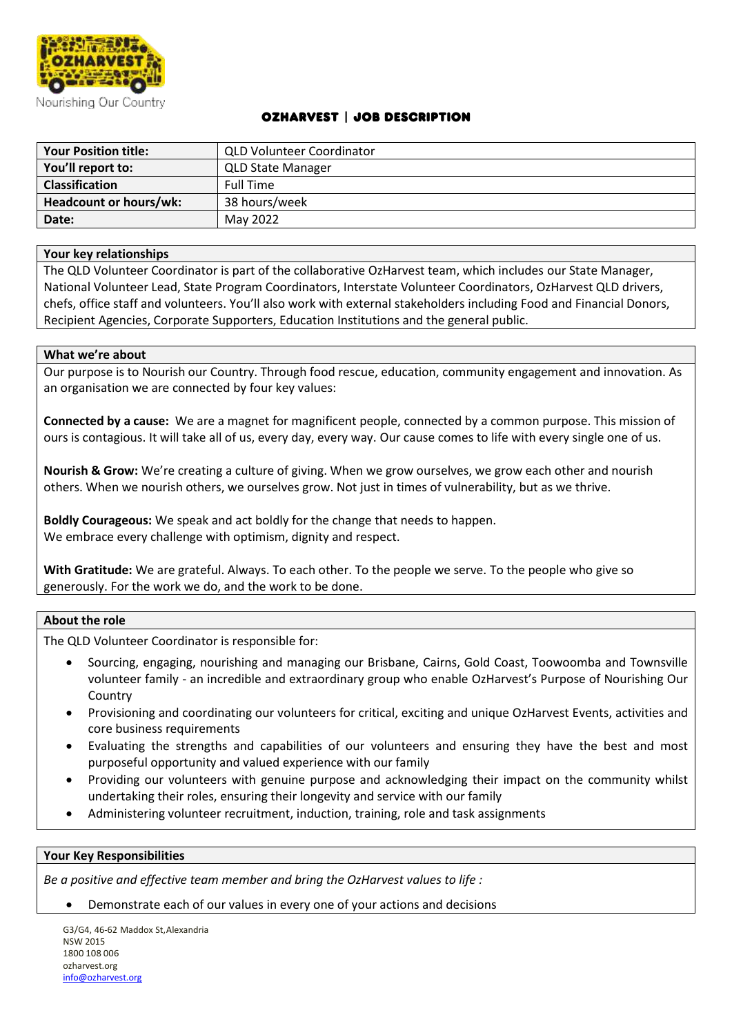

### OzHarvest | Job Description

| <b>Your Position title:</b> | <b>QLD Volunteer Coordinator</b> |
|-----------------------------|----------------------------------|
| You'll report to:           | <b>QLD State Manager</b>         |
| <b>Classification</b>       | <b>Full Time</b>                 |
| Headcount or hours/wk:      | 38 hours/week                    |
| Date:                       | May 2022                         |

#### **Your key relationships**

The QLD Volunteer Coordinator is part of the collaborative OzHarvest team, which includes our State Manager, National Volunteer Lead, State Program Coordinators, Interstate Volunteer Coordinators, OzHarvest QLD drivers, chefs, office staff and volunteers. You'll also work with external stakeholders including Food and Financial Donors, Recipient Agencies, Corporate Supporters, Education Institutions and the general public.

#### **What we're about**

Our purpose is to Nourish our Country. Through food rescue, education, community engagement and innovation. As an organisation we are connected by four key values:

**Connected by a cause:** We are a magnet for magnificent people, connected by a common purpose. This mission of ours is contagious. It will take all of us, every day, every way. Our cause comes to life with every single one of us.

**Nourish & Grow:** We're creating a culture of giving. When we grow ourselves, we grow each other and nourish others. When we nourish others, we ourselves grow. Not just in times of vulnerability, but as we thrive.

**Boldly Courageous:** We speak and act boldly for the change that needs to happen. We embrace every challenge with optimism, dignity and respect.

**With Gratitude:** We are grateful. Always. To each other. To the people we serve. To the people who give so generously. For the work we do, and the work to be done.

#### **About the role**

The QLD Volunteer Coordinator is responsible for:

- Sourcing, engaging, nourishing and managing our Brisbane, Cairns, Gold Coast, Toowoomba and Townsville volunteer family - an incredible and extraordinary group who enable OzHarvest's Purpose of Nourishing Our Country
- Provisioning and coordinating our volunteers for critical, exciting and unique OzHarvest Events, activities and core business requirements
- Evaluating the strengths and capabilities of our volunteers and ensuring they have the best and most purposeful opportunity and valued experience with our family
- Providing our volunteers with genuine purpose and acknowledging their impact on the community whilst undertaking their roles, ensuring their longevity and service with our family
- Administering volunteer recruitment, induction, training, role and task assignments

#### **Your Key Responsibilities**

*Be a positive and effective team member and bring the OzHarvest values to life :* 

• Demonstrate each of our values in every one of your actions and decisions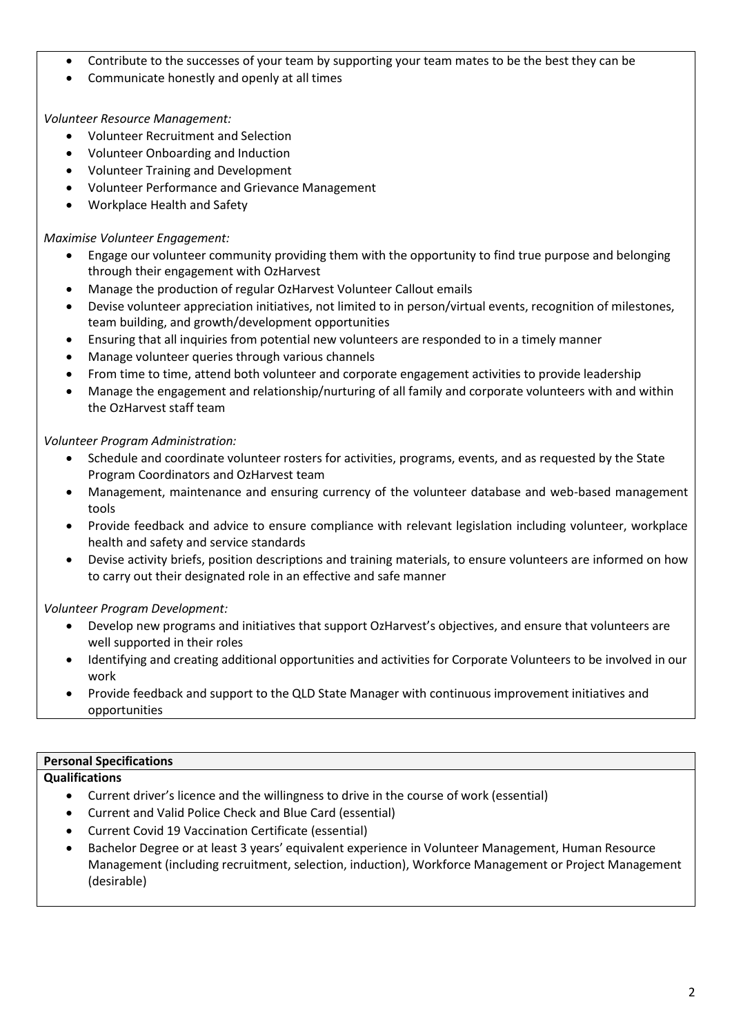- Contribute to the successes of your team by supporting your team mates to be the best they can be
- Communicate honestly and openly at all times

## *Volunteer Resource Management:*

- Volunteer Recruitment and Selection
- Volunteer Onboarding and Induction
- Volunteer Training and Development
- Volunteer Performance and Grievance Management
- Workplace Health and Safety

### *Maximise Volunteer Engagement:*

- Engage our volunteer community providing them with the opportunity to find true purpose and belonging through their engagement with OzHarvest
- Manage the production of regular OzHarvest Volunteer Callout emails
- Devise volunteer appreciation initiatives, not limited to in person/virtual events, recognition of milestones, team building, and growth/development opportunities
- Ensuring that all inquiries from potential new volunteers are responded to in a timely manner
- Manage volunteer queries through various channels
- From time to time, attend both volunteer and corporate engagement activities to provide leadership
- Manage the engagement and relationship/nurturing of all family and corporate volunteers with and within the OzHarvest staff team

## *Volunteer Program Administration:*

- Schedule and coordinate volunteer rosters for activities, programs, events, and as requested by the State Program Coordinators and OzHarvest team
- Management, maintenance and ensuring currency of the volunteer database and web-based management tools
- Provide feedback and advice to ensure compliance with relevant legislation including volunteer, workplace health and safety and service standards
- Devise activity briefs, position descriptions and training materials, to ensure volunteers are informed on how to carry out their designated role in an effective and safe manner

### *Volunteer Program Development:*

- Develop new programs and initiatives that support OzHarvest's objectives, and ensure that volunteers are well supported in their roles
- Identifying and creating additional opportunities and activities for Corporate Volunteers to be involved in our work
- Provide feedback and support to the QLD State Manager with continuous improvement initiatives and opportunities

## **Personal Specifications**

### **Qualifications**

- Current driver's licence and the willingness to drive in the course of work (essential)
- Current and Valid Police Check and Blue Card (essential)
- Current Covid 19 Vaccination Certificate (essential)
- Bachelor Degree or at least 3 years' equivalent experience in Volunteer Management, Human Resource Management (including recruitment, selection, induction), Workforce Management or Project Management (desirable)